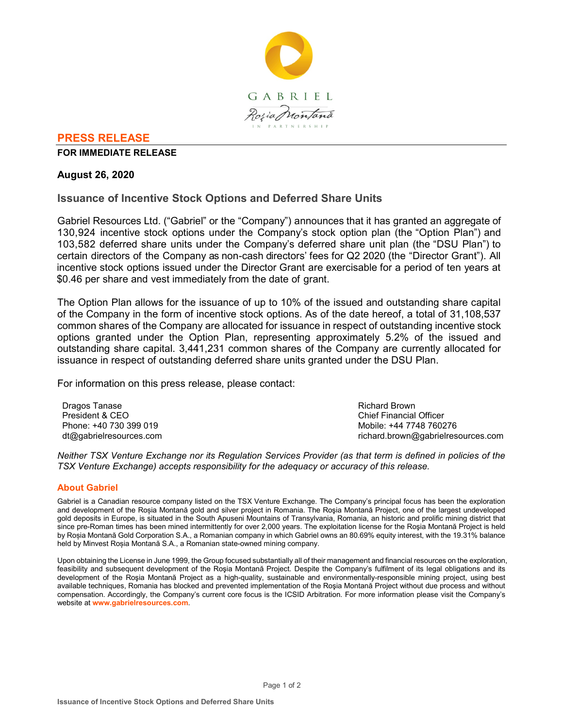

# **PRESS RELEASE**

**FOR IMMEDIATE RELEASE**

## **August 26, 2020**

# **Issuance of Incentive Stock Options and Deferred Share Units**

Gabriel Resources Ltd. ("Gabriel" or the "Company") announces that it has granted an aggregate of 130,924 incentive stock options under the Company's stock option plan (the "Option Plan") and 103,582 deferred share units under the Company's deferred share unit plan (the "DSU Plan") to certain directors of the Company as non-cash directors' fees for Q2 2020 (the "Director Grant"). All incentive stock options issued under the Director Grant are exercisable for a period of ten years at \$0.46 per share and vest immediately from the date of grant.

The Option Plan allows for the issuance of up to 10% of the issued and outstanding share capital of the Company in the form of incentive stock options. As of the date hereof, a total of 31,108,537 common shares of the Company are allocated for issuance in respect of outstanding incentive stock options granted under the Option Plan, representing approximately 5.2% of the issued and outstanding share capital. 3,441,231 common shares of the Company are currently allocated for issuance in respect of outstanding deferred share units granted under the DSU Plan.

For information on this press release, please contact:

Dragos Tanase President & CEO Phone: +40 730 399 019 dt@gabrielresources.com Richard Brown Chief Financial Officer Mobile: +44 7748 760276 richard.brown@gabrielresources.com

*Neither TSX Venture Exchange nor its Regulation Services Provider (as that term is defined in policies of the TSX Venture Exchange) accepts responsibility for the adequacy or accuracy of this release.*

### **About Gabriel**

Gabriel is a Canadian resource company listed on the TSX Venture Exchange. The Company's principal focus has been the exploration and development of the Roșia Montană gold and silver project in Romania. The Roşia Montană Project, one of the largest undeveloped gold deposits in Europe, is situated in the South Apuseni Mountains of Transylvania, Romania, an historic and prolific mining district that since pre-Roman times has been mined intermittently for over 2,000 years. The exploitation license for the Roşia Montană Project is held by Roșia Montană Gold Corporation S.A., a Romanian company in which Gabriel owns an 80.69% equity interest, with the 19.31% balance held by Minvest Roșia Montană S.A., a Romanian state-owned mining company.

Upon obtaining the License in June 1999, the Group focused substantially all of their management and financial resources on the exploration, feasibility and subsequent development of the Roşia Montană Project. Despite the Company's fulfilment of its legal obligations and its development of the Roşia Montană Project as a high-quality, sustainable and environmentally-responsible mining project, using best available techniques, Romania has blocked and prevented implementation of the Roşia Montană Project without due process and without compensation. Accordingly, the Company's current core focus is the ICSID Arbitration. For more information please visit the Company's website at **www.gabrielresources.com**.